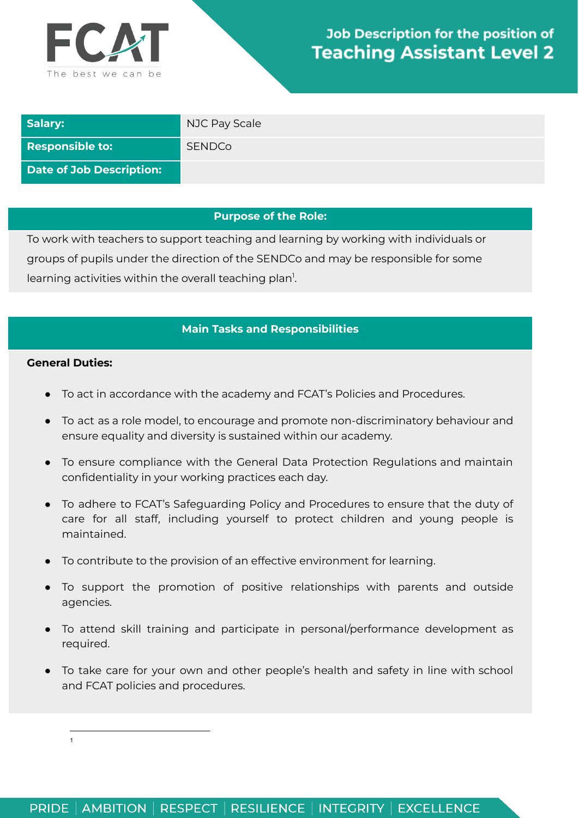

| Salary:                  | NJC Pay Scale |
|--------------------------|---------------|
| <b>Responsible to:</b>   | <b>SENDCo</b> |
| Date of Job Description: |               |

### **Purpose of the Role:**

To work with teachers to support teaching and learning by working with individuals or groups of pupils under the direction of the SENDCo and may be responsible for some learning activities within the overall teaching plan<sup>1</sup>.

# **Main Tasks and Responsibilities**

#### **General Duties:**

- To act in accordance with the academy and FCAT's Policies and Procedures.
- To act as a role model, to encourage and promote non-discriminatory behaviour and ensure equality and diversity is sustained within our academy.
- To ensure compliance with the General Data Protection Regulations and maintain confidentiality in your working practices each day.
- To adhere to FCAT's Safeguarding Policy and Procedures to ensure that the duty of care for all staff, including yourself to protect children and young people is maintained.
- To contribute to the provision of an effective environment for learning.
- To support the promotion of positive relationships with parents and outside agencies.
- To attend skill training and participate in personal/performance development as required.
- To take care for your own and other people's health and safety in line with school and FCAT policies and procedures.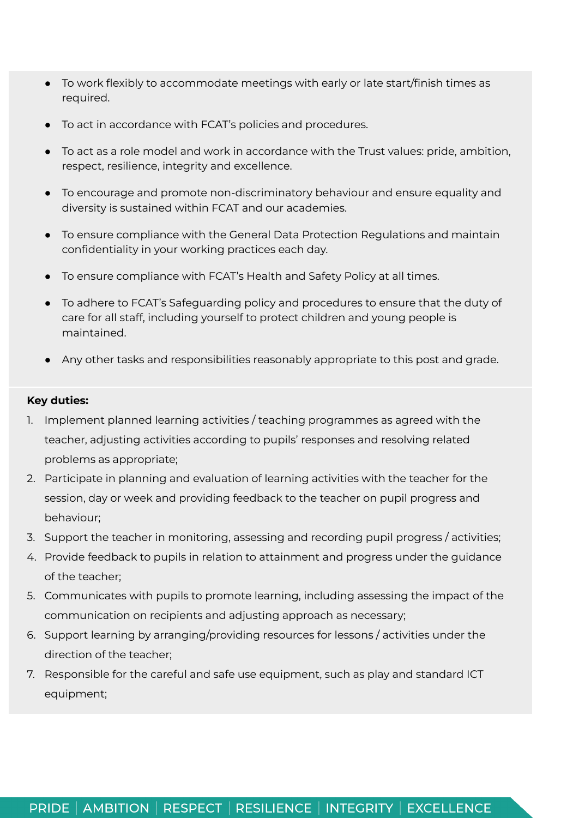- To work flexibly to accommodate meetings with early or late start/finish times as required.
- To act in accordance with FCAT's policies and procedures.
- To act as a role model and work in accordance with the Trust values: pride, ambition, respect, resilience, integrity and excellence.
- To encourage and promote non-discriminatory behaviour and ensure equality and diversity is sustained within FCAT and our academies.
- To ensure compliance with the General Data Protection Regulations and maintain confidentiality in your working practices each day.
- To ensure compliance with FCAT's Health and Safety Policy at all times.
- To adhere to FCAT's Safeguarding policy and procedures to ensure that the duty of care for all staff, including yourself to protect children and young people is maintained.
- Any other tasks and responsibilities reasonably appropriate to this post and grade.

### **Key duties:**

- 1. Implement planned learning activities / teaching programmes as agreed with the teacher, adjusting activities according to pupils' responses and resolving related problems as appropriate;
- 2. Participate in planning and evaluation of learning activities with the teacher for the session, day or week and providing feedback to the teacher on pupil progress and behaviour;
- 3. Support the teacher in monitoring, assessing and recording pupil progress / activities;
- 4. Provide feedback to pupils in relation to attainment and progress under the guidance of the teacher;
- 5. Communicates with pupils to promote learning, including assessing the impact of the communication on recipients and adjusting approach as necessary;
- 6. Support learning by arranging/providing resources for lessons / activities under the direction of the teacher;
- 7. Responsible for the careful and safe use equipment, such as play and standard ICT equipment;

# PRIDE | AMBITION | RESPECT | RESILIENCE | INTEGRITY | EXCELLENCE